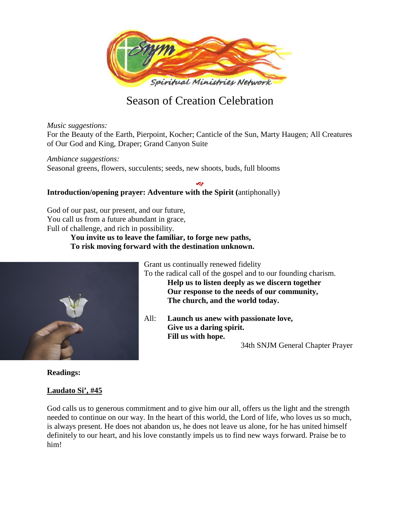

# Season of Creation Celebration

*Music suggestions:*

For the Beauty of the Earth, Pierpoint, Kocher; Canticle of the Sun, Marty Haugen; All Creatures of Our God and King, Draper; Grand Canyon Suite

D

*Ambiance suggestions:*

Seasonal greens, flowers, succulents; seeds, new shoots, buds, full blooms

## **Introduction/opening prayer: Adventure with the Spirit (**antiphonally)

God of our past, our present, and our future, You call us from a future abundant in grace, Full of challenge, and rich in possibility.

> **You invite us to leave the familiar, to forge new paths, To risk moving forward with the destination unknown.**



**Readings:**

## **Laudato Si', #45**

God calls us to generous commitment and to give him our all, offers us the light and the strength needed to continue on our way. In the heart of this world, the Lord of life, who loves us so much, is always present. He does not abandon us, he does not leave us alone, for he has united himself definitely to our heart, and his love constantly impels us to find new ways forward. Praise be to him!

Grant us continually renewed fidelity

To the radical call of the gospel and to our founding charism. **Help us to listen deeply as we discern together Our response to the needs of our community, The church, and the world today.**

All: **Launch us anew with passionate love, Give us a daring spirit. Fill us with hope.**

34th SNJM General Chapter Prayer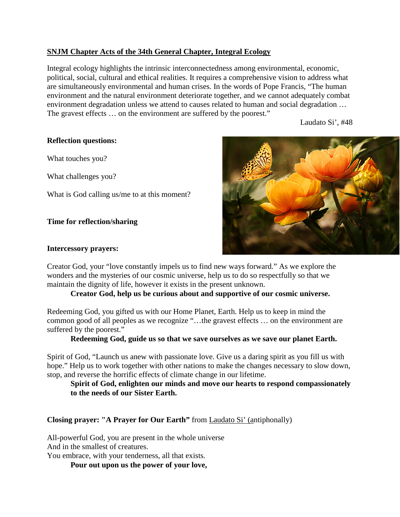## **SNJM Chapter Acts of the 34th General Chapter, Integral Ecology**

Integral ecology highlights the intrinsic interconnectedness among environmental, economic, political, social, cultural and ethical realities. It requires a comprehensive vision to address what are simultaneously environmental and human crises. In the words of Pope Francis, "The human environment and the natural environment deteriorate together, and we cannot adequately combat environment degradation unless we attend to causes related to human and social degradation … The gravest effects … on the environment are suffered by the poorest."

Laudato Si', #48

## **Reflection questions:**

What touches you?

What challenges you?

What is God calling us/me to at this moment?

#### **Time for reflection/sharing**

#### **Intercessory prayers:**

Creator God, your "love constantly impels us to find new ways forward." As we explore the wonders and the mysteries of our cosmic universe, help us to do so respectfully so that we maintain the dignity of life, however it exists in the present unknown.

## **Creator God, help us be curious about and supportive of our cosmic universe.**

Redeeming God, you gifted us with our Home Planet, Earth. Help us to keep in mind the common good of all peoples as we recognize "…the gravest effects … on the environment are suffered by the poorest."

#### **Redeeming God, guide us so that we save ourselves as we save our planet Earth.**

Spirit of God, "Launch us anew with passionate love. Give us a daring spirit as you fill us with hope." Help us to work together with other nations to make the changes necessary to slow down, stop, and reverse the horrific effects of climate change in our lifetime.

**Spirit of God, enlighten our minds and move our hearts to respond compassionately to the needs of our Sister Earth.**

**Closing prayer: "A Prayer for Our Earth"** from Laudato Si' (antiphonally)

All-powerful God, you are present in the whole universe And in the smallest of creatures.

You embrace, with your tenderness, all that exists.

**Pour out upon us the power of your love,**